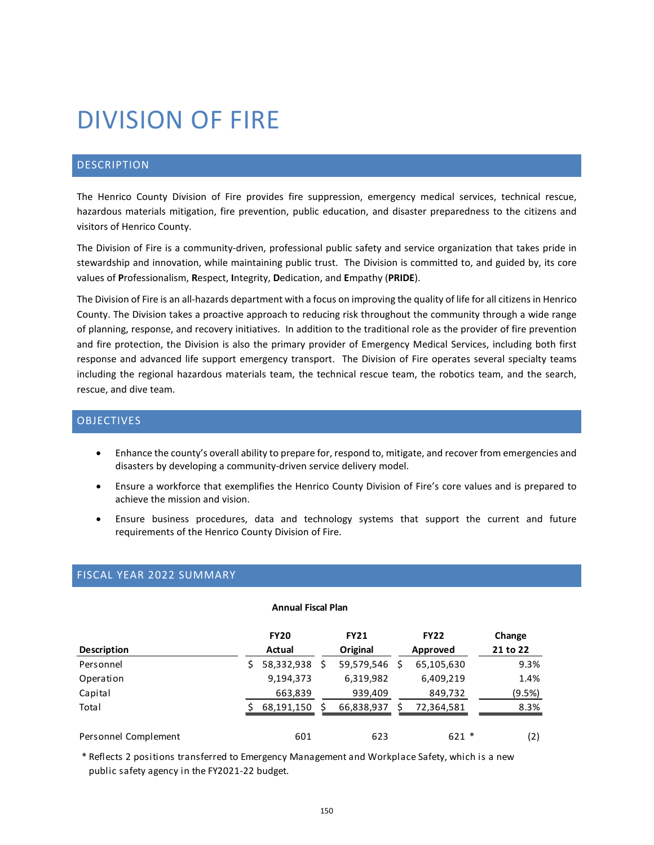# DIVISION OF FIRE

# DESCRIPTION

The Henrico County Division of Fire provides fire suppression, emergency medical services, technical rescue, hazardous materials mitigation, fire prevention, public education, and disaster preparedness to the citizens and visitors of Henrico County.

The Division of Fire is a community-driven, professional public safety and service organization that takes pride in stewardship and innovation, while maintaining public trust. The Division is committed to, and guided by, its core values of **P**rofessionalism, **R**espect, **I**ntegrity, **D**edication, and **E**mpathy (**PRIDE**).

The Division of Fire is an all-hazards department with a focus on improving the quality of life for all citizens in Henrico County. The Division takes a proactive approach to reducing risk throughout the community through a wide range of planning, response, and recovery initiatives. In addition to the traditional role as the provider of fire prevention and fire protection, the Division is also the primary provider of Emergency Medical Services, including both first response and advanced life support emergency transport. The Division of Fire operates several specialty teams including the regional hazardous materials team, the technical rescue team, the robotics team, and the search, rescue, and dive team.

# OBJECTIVES

- Enhance the county's overall ability to prepare for, respond to, mitigate, and recover from emergencies and disasters by developing a community-driven service delivery model.
- Ensure a workforce that exemplifies the Henrico County Division of Fire's core values and is prepared to achieve the mission and vision.
- Ensure business procedures, data and technology systems that support the current and future requirements of the Henrico County Division of Fire.

# FISCAL YEAR 2022 SUMMARY

#### **Annual Fiscal Plan**

| <b>Description</b>   | <b>FY20</b><br>Actual | <b>FY21</b><br>Original | <b>FY22</b><br>Approved | Change<br>21 to 22 |
|----------------------|-----------------------|-------------------------|-------------------------|--------------------|
| Personnel            | 58,332,938            | 59,579,546              | 65,105,630              | 9.3%               |
| Operation            | 9,194,373             | 6,319,982               | 6,409,219               | 1.4%               |
| Capital              | 663,839               | 939,409                 | 849,732                 | (9.5%)             |
| Total                | 68,191,150            | 66,838,937              | 72,364,581              | 8.3%               |
| Personnel Complement | 601                   | 623                     | $621 *$                 | (2)                |

\* Reflects 2 positions transferred to Emergency Management and Workplace Safety, which is a new public safety agency in the FY2021-22 budget.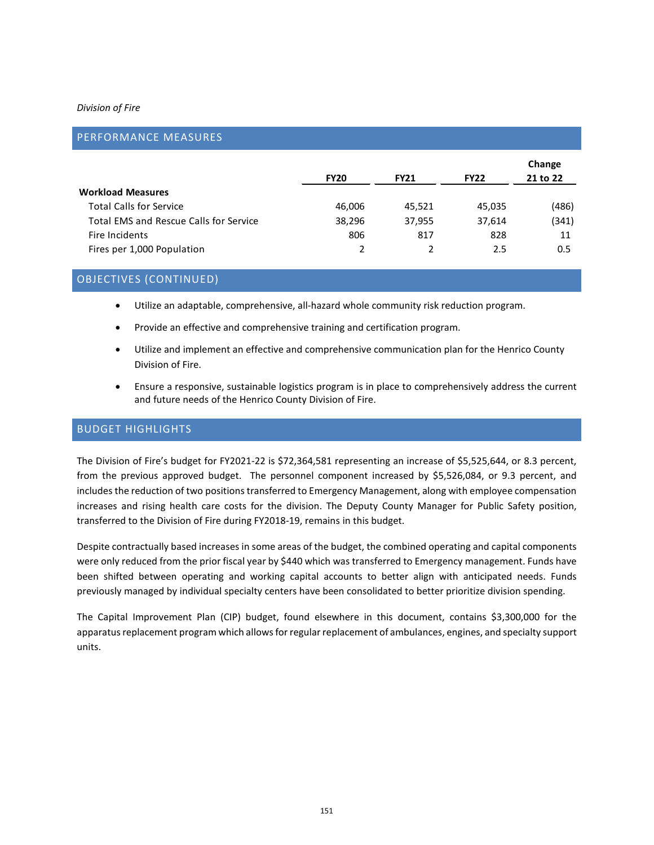## *Division of Fire*

| PERFORMANCE MEASURES                          |             |             |             |                    |
|-----------------------------------------------|-------------|-------------|-------------|--------------------|
|                                               | <b>FY20</b> | <b>FY21</b> | <b>FY22</b> | Change<br>21 to 22 |
| <b>Workload Measures</b>                      |             |             |             |                    |
| <b>Total Calls for Service</b>                | 46,006      | 45,521      | 45,035      | (486)              |
| <b>Total EMS and Rescue Calls for Service</b> | 38,296      | 37,955      | 37,614      | (341)              |
| Fire Incidents                                | 806         | 817         | 828         | 11                 |
| Fires per 1,000 Population                    | 2           | 2           | 2.5         | 0.5                |

# OBJECTIVES (CONTINUED)

- Utilize an adaptable, comprehensive, all-hazard whole community risk reduction program.
- Provide an effective and comprehensive training and certification program.
- Utilize and implement an effective and comprehensive communication plan for the Henrico County Division of Fire.
- Ensure a responsive, sustainable logistics program is in place to comprehensively address the current and future needs of the Henrico County Division of Fire.

# BUDGET HIGHLIGHTS

The Division of Fire's budget for FY2021-22 is \$72,364,581 representing an increase of \$5,525,644, or 8.3 percent, from the previous approved budget. The personnel component increased by \$5,526,084, or 9.3 percent, and includes the reduction of two positions transferred to Emergency Management, along with employee compensation increases and rising health care costs for the division. The Deputy County Manager for Public Safety position, transferred to the Division of Fire during FY2018-19, remains in this budget.

Despite contractually based increases in some areas of the budget, the combined operating and capital components were only reduced from the prior fiscal year by \$440 which was transferred to Emergency management. Funds have been shifted between operating and working capital accounts to better align with anticipated needs. Funds previously managed by individual specialty centers have been consolidated to better prioritize division spending.

The Capital Improvement Plan (CIP) budget, found elsewhere in this document, contains \$3,300,000 for the apparatus replacement program which allows for regular replacement of ambulances, engines, and specialty support units.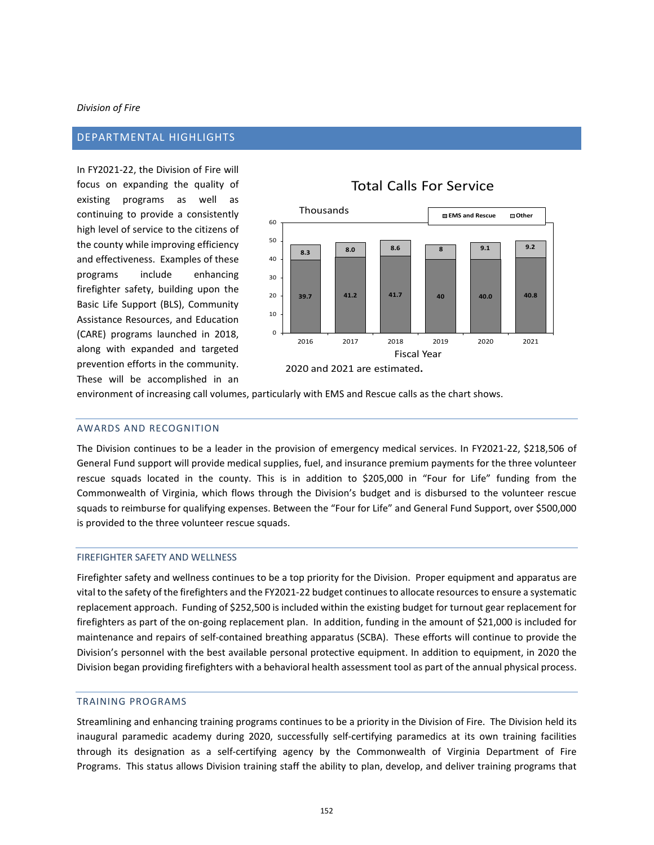## *Division of Fire*

## DEPARTMENTAL HIGHLIGHTS

In FY2021-22, the Division of Fire will focus on expanding the quality of existing programs as well as continuing to provide a consistently high level of service to the citizens of the county while improving efficiency and effectiveness. Examples of these programs include enhancing firefighter safety, building upon the Basic Life Support (BLS), Community Assistance Resources, and Education (CARE) programs launched in 2018, along with expanded and targeted prevention efforts in the community. These will be accomplished in an

# **39.7 41.2 41.7 40 40.0 40.8 8.3 8.0 8.6 <sup>8</sup> 9.1 9.2**  $\Omega$ 10 20 30 40 50 60 2016 2017 2018 2019 2020 2021 **EMS and Rescue Other** Thousands Fiscal Year 2020 and 2021 are estimated**.**

Total Calls For Service

#### environment of increasing call volumes, particularly with EMS and Rescue calls as the chart shows.

#### AWARDS AND RECOGNITION

The Division continues to be a leader in the provision of emergency medical services. In FY2021-22, \$218,506 of General Fund support will provide medical supplies, fuel, and insurance premium payments for the three volunteer rescue squads located in the county. This is in addition to \$205,000 in "Four for Life" funding from the Commonwealth of Virginia, which flows through the Division's budget and is disbursed to the volunteer rescue squads to reimburse for qualifying expenses. Between the "Four for Life" and General Fund Support, over \$500,000 is provided to the three volunteer rescue squads.

#### FIREFIGHTER SAFETY AND WELLNESS

Firefighter safety and wellness continues to be a top priority for the Division. Proper equipment and apparatus are vital to the safety of the firefighters and the FY2021-22 budget continues to allocate resources to ensure a systematic replacement approach. Funding of \$252,500 is included within the existing budget for turnout gear replacement for firefighters as part of the on-going replacement plan. In addition, funding in the amount of \$21,000 is included for maintenance and repairs of self-contained breathing apparatus (SCBA). These efforts will continue to provide the Division's personnel with the best available personal protective equipment. In addition to equipment, in 2020 the Division began providing firefighters with a behavioral health assessment tool as part of the annual physical process.

#### TRAINING PROGRAMS

Streamlining and enhancing training programs continues to be a priority in the Division of Fire. The Division held its inaugural paramedic academy during 2020, successfully self-certifying paramedics at its own training facilities through its designation as a self-certifying agency by the Commonwealth of Virginia Department of Fire Programs. This status allows Division training staff the ability to plan, develop, and deliver training programs that